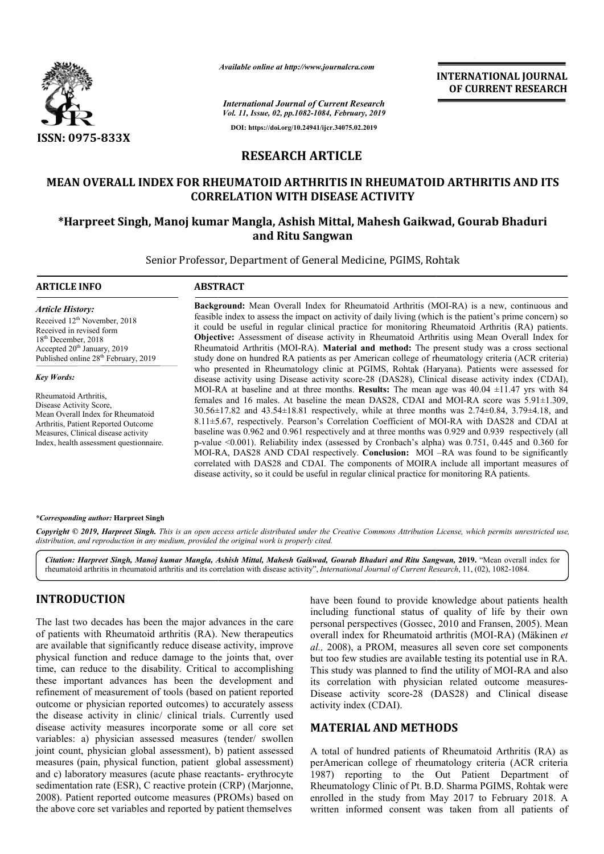

*Available online at http://www.journalcra.com*

*International Journal of Current Research Vol. 11, Issue, 02, pp.1082-1084, February, 2019* **DOI: https://doi.org/10.24941/ijcr.34075.02.2019**

**INTERNATIONAL JOURNAL OF CURRENT RESEARCH**

# **RESEARCH ARTICLE**

# **MEAN OVERALL INDEX FOR RHEUMATOID ARTHRITIS IN RHEUMATOID ARTHRITIS AND ITS CORRELATION WITH DISEASE ACTIVITY** FOR RHEUMATOID ARTHRITIS IN RHEUMATOID ARTHRITIS AND IT<br>CORRELATION WITH DISEASE ACTIVITY<br>oj kumar Mangla, Ashish Mittal, Mahesh Gaikwad, Gourab Bhaduri

# **\*Harpreet Singh, Manoj kumar Mangla, Ashish Mittal, Mahesh Gaikwad, Go Harpreet and Ritu Sangwan**

Senior Professor, Department of General Medicine, PGIMS, Rohtak

#### **ARTICLE INFO ABSTRACT**

*Article History:* Received 12<sup>th</sup> November, 2018 Received in revised form 18<sup>th</sup> December, 2018 Accepted 20<sup>th</sup> January, 2019 Published online 28<sup>th</sup> February, 2019

*Key Words:*

Rheumatoid Arthritis, Disease Activity Score, Mean Overall Index for Rheumatoid Arthritis, Patient Reported Outcome Measures, Clinical disease activity Index, health assessment questionnaire.

**Background:** Mean Overall Index for Rheumatoid Arthritis (MOI-RA) is a new, continuous and feasible index to assess the impact on activity of daily living (which is the patient's prime concern) so feasible index to assess the impact on activity of daily living (which is the patient's prime concern) so it could be useful in regular clinical practice for monitoring Rheumatoid Arthritis (RA) patients. **Objective:**  Assessment of disease activity in Rheumatoid Arthritis using Mean Overall Index for Rheumatoid Arthritis (MOI-RA). Material and method: The present study was a cross sectional study done on hundred RA patients as per American college of rheumatology criteria (ACR criteria) who presented in Rheumatology clinic at PGIMS, Rohtak (Haryana). Patients were assessed for disease activity using Disease activity score-28 (DAS28), Clinical disease activity index (CDAI), MOI-RA at baseline and at three months. **Results:** The mean age was  $40.04 \pm 11.47$  yrs with 84 females and 16 males. At baseline the mean DAS28, CDAI and MOI-RA score was 5.91 $\pm$ 1.309, 30.56±17.82 and 43.54±18.81 respectively, while at three months was 2.74±0.84, 3.79±4.18, and 30.56±17.82 and 43.54±18.81 respectively, while at three months was 2.74±0.84, 3.79±4.18, and 8.11±5.67, respectively. Pearson's Correlation Coefficient of MOI-RA with DAS28 and CDAI at baseline was 0.962 and 0.961 respectively and at three months was 0.929 and 0.939 respectively (all p-value <0.001) value <0.001). Reliability index (assessed by Cronbach's alpha) was 0.751, 0.445 and 0.360 for MOI-RA, DAS28 AND CDAI respectively. Conclusion: MOI correlated with DAS28 and CDAI. The components of MOIRA include all important measures of correlated with DAS28 and CDAI. The components of MOIRA include all important measures disease activity, so it could be useful in regular clinical practice for monitoring RA patients. **Objective:** Assessment of disease activity in Rheumatoid Arthritis using Mean Overall Index for Rheumatoid Arthritis (MOI-RA). **Material and method:** The present study was a cross sectional study done on hundred RA patien disease activity using Disease activity score-28 (DAS28), Clinical disease activity index (CDAI), MOI-RA at baseline and at three months. **Results:** The mean age was 40.04 ±11.47 yrs with 84 females and 16 males. At baseli baseline was 0.962 and 0.961 respectively and at three months was 0.929 and 0.939 respectively (all p-value <0.001). Reliability index (assessed by Cronbach's alpha) was 0.751, 0.445 and 0.360 for MOI-RA, DAS28 AND CDAI re **ATIONAL JOURNAL RESEARCH**<br> **REENT RESEARCH**<br> **REENT RESEARCH**<br> **REENT RESEARCH**<br> **CONSTANCE (TREENT RESEARCH**<br> **CONSTANCE (TREENT RESEARCH**<br> **CONSTANCE (TREENT AND PRESEARCH**)<br> **CONSTANCE (TREENT AND PRESEARCH**)<br> **CONSTAN** 

### *\*Corresponding author:* **Harpreet Singh**

Copyright © 2019, Harpreet Singh. This is an open access article distributed under the Creative Commons Attribution License, which permits unrestricted use, *distribution, and reproduction in any medium, provided the original work is properly cited.*

Citation: Harpreet Singh, Manoj kumar Mangla, Ashish Mittal, Mahesh Gaikwad, Gourab Bhaduri and Ritu Sangwan, 2019. "Mean overall index for rheumatoid arthritis in rheumatoid arthritis and its correlation with disease activity", *International Journal of Current Research*, 11, (02), 1082-1084.

# **INTRODUCTION**

The last two decades has been the major advances in the care of patients with Rheumatoid arthritis (RA). New therapeutics are available that significantly reduce disease activity, improve physical function and reduce damage to the joints that, over time, can reduce to the disability. Critical to accomplishing these important advances has been the development and refinement of measurement of tools (based on patient reported outcome or physician reported outcomes) to accurately assess the disease activity in clinic/ clinical trials. Currently used disease activity measures incorporate some or all core set variables: a) physician assessed measures (tender/ swollen joint count, physician global assessment), b) patient assessed measures (pain, physical function, patient global assessment) and c) laboratory measures (acute phase reactants reactants- erythrocyte sedimentation rate (ESR), C reactive protein (CRP) (Marjonne, 2008). Patient reported outcome measures (PROMs) based on the above core set variables and reported by patient themselves

have been found to provide knowledge about patients health including functional status of quality of life by their own have been found to provide knowledge about patients health<br>including functional status of quality of life by their own<br>personal perspectives (Gossec, 2010 and Fransen, 2005). Mean overall index for Rheumatoid arthritis (MOI-RA) (Mäkinen et *al.,* 2008), a PROM, measures all seven core set components al., 2008), a PROM, measures all seven core set components but too few studies are available testing its potential use in RA. This study was planned to find the utility of MOI-RA and also its correlation with physician related outcome measures-Disease activity score-28 (DAS28) and Clinical disease activity index (CDAI).

# **MATERIAL AND METHODS**

A total of hundred patients of Rheumatoid Arthritis (RA) as Disease activity score-28 (DAS28) and Clinical disease<br>
activity index (CDAI).<br> **MATERIAL AND METHODS**<br>
A total of hundred patients of Rheumatoid Arthritis (RA) as<br>
perAmerican college of rheumatology criteria (ACR criteri 1987) reporting to the Out Patient Department of Rheumatology Clinic of Pt. B.D. Sharma PGIMS, Rohtak were enrolled in the study from May 2017 to February 2018. A written informed consent was taken from all patients of ng to the Out Patient Department of<br>Clinic of Pt. B.D. Sharma PGIMS, Rohtak were<br>tistudy from May 2017 to February 2018. A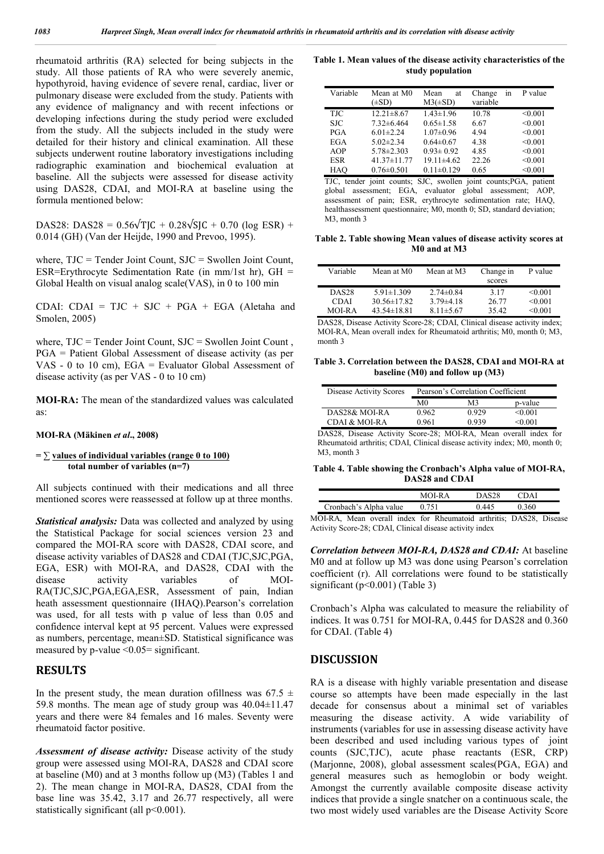rheumatoid arthritis (RA) selected for being subjects in the study. All those patients of RA who were severely anemic, hypothyroid, having evidence of severe renal, cardiac, liver or pulmonary disease were excluded from the study. Patients with any evidence of malignancy and with recent infections or developing infections during the study period were excluded from the study. All the subjects included in the study were detailed for their history and clinical examination. All these subjects underwent routine laboratory investigations including radiographic examination and biochemical evaluation at baseline. All the subjects were assessed for disease activity using DAS28, CDAI, and MOI-RA at baseline using the formula mentioned below:

DAS28: DAS28 =  $0.56\sqrt{T}$  $C + 0.28\sqrt{S}$  $C + 0.70$  (log ESR) + 0.014 (GH) (Van der Heijde, 1990 and Prevoo, 1995).

where, TJC = Tender Joint Count, SJC = Swollen Joint Count, ESR=Erythrocyte Sedimentation Rate (in mm/1st hr),  $GH =$ Global Health on visual analog scale(VAS), in 0 to 100 min

CDAI: CDAI =  $TJC + SJC + PGA + EGA$  (Aletaha and Smolen, 2005)

where,  $TJC = Tender Joint Count$ ,  $SJC = Swollen Joint Count$ , PGA = Patient Global Assessment of disease activity (as per VAS - 0 to 10 cm), EGA = Evaluator Global Assessment of disease activity (as per VAS - 0 to 10 cm)

**MOI-RA:** The mean of the standardized values was calculated as:

#### **MOI-RA (Mäkinen** *et al***., 2008)**

**= ∑ values of individual variables (range 0 to 100) total number of variables (n=7)**

All subjects continued with their medications and all three mentioned scores were reassessed at follow up at three months.

*Statistical analysis:* Data was collected and analyzed by using the Statistical Package for social sciences version 23 and compared the MOI-RA score with DAS28, CDAI score, and disease activity variables of DAS28 and CDAI (TJC,SJC,PGA, EGA, ESR) with MOI-RA, and DAS28, CDAI with the disease activity variables of MOI-RA(TJC,SJC,PGA,EGA,ESR, Assessment of pain, Indian heath assessment questionnaire (IHAQ).Pearson's correlation was used, for all tests with p value of less than 0.05 and confidence interval kept at 95 percent. Values were expressed as numbers, percentage, mean±SD. Statistical significance was measured by p-value  $\leq 0.05$ = significant.

## **RESULTS**

In the present study, the mean duration of illness was  $67.5 \pm$ 59.8 months. The mean age of study group was  $40.04 \pm 11.47$ years and there were 84 females and 16 males. Seventy were rheumatoid factor positive.

*Assessment of disease activity:* Disease activity of the study group were assessed using MOI-RA, DAS28 and CDAI score at baseline (M0) and at 3 months follow up (M3) (Tables 1 and 2). The mean change in MOI-RA, DAS28, CDAI from the base line was 35.42, 3.17 and 26.77 respectively, all were statistically significant (all  $p<0.001$ ).

**Table 1. Mean values of the disease activity characteristics of the study population**

| Variable   | Mean at M0<br>$(\pm SD)$ | Mean<br>at<br>$M3(\pm SD)$ | in<br>Change<br>variable | P value |
|------------|--------------------------|----------------------------|--------------------------|---------|
| TJC        | $12.21 \pm 8.67$         | $1.43 \pm 1.96$            | 10.78                    | < 0.001 |
| SJC.       | $7.32 \pm 6.464$         | $0.65 \pm 1.58$            | 6.67                     | < 0.001 |
| PGA        | $6.01 \pm 2.24$          | $1.07 \pm 0.96$            | 4.94                     | < 0.001 |
| EGA        | $5.02 \pm 2.34$          | $0.64 \pm 0.67$            | 4.38                     | < 0.001 |
| AOP        | $5.78 \pm 2.303$         | $0.93 \pm 0.92$            | 4.85                     | < 0.001 |
| <b>ESR</b> | $41.37 \pm 11.77$        | $19.11 \pm 4.62$           | 22.26                    | < 0.001 |
| HAO        | $0.76 \pm 0.501$         | $0.11 \pm 0.129$           | 0.65                     | < 0.001 |

TJC, tender joint counts; SJC, swollen joint counts;PGA, patient global assessment; EGA, evaluator global assessment; AOP, assessment of pain; ESR, erythrocyte sedimentation rate; HAQ, healthassessment questionnaire; M0, month 0; SD, standard deviation; M<sub>3</sub> month 3

**Table 2. Table showing Mean values of disease activity scores at M0 and at M3**

| Variable     | Mean at M0        | Mean at M3      | Change in | P value      |
|--------------|-------------------|-----------------|-----------|--------------|
|              |                   |                 | scores    |              |
| <b>DAS28</b> | $5.91 \pm 1.309$  | $2.74\pm 0.84$  | 3.17      | $\leq 0.001$ |
| CDAI         | $30.56 \pm 17.82$ | $3.79\pm4.18$   | 26.77     | $\leq 0.001$ |
| MOLRA        | $43.54\pm18.81$   | $8.11 \pm 5.67$ | 35.42     | < 0.001      |

DAS28, Disease Activity Score-28; CDAI, Clinical disease activity index; MOI-RA, Mean overall index for Rheumatoid arthritis; M0, month 0; M3, month 3

**Table 3. Correlation between the DAS28, CDAI and MOI-RA at baseline (M0) and follow up (M3)**

| Disease Activity Scores |       | Pearson's Correlation Coefficient |             |
|-------------------------|-------|-----------------------------------|-------------|
|                         | M0    | M3                                | p-value     |
| DAS28& MOI-RA           | 0.962 | 0.929                             | < 0.001     |
| CDAI & MOI-RA           | 0.961 | 0.939                             | $<$ 0 0 0 1 |
|                         |       |                                   |             |

DAS28, Disease Activity Score-28; MOI-RA, Mean overall index for Rheumatoid arthritis; CDAI, Clinical disease activity index; M0, month 0; M<sub>3</sub> month 3

**Table 4. Table showing the Cronbach's Alpha value of MOI-RA, DAS28 and CDAI**

|                                  | $MOLR$ $\Delta$ | DAS <sub>28</sub>                     | D٨  |
|----------------------------------|-----------------|---------------------------------------|-----|
| Cronbach's Alpha value           | 751             | በ 445                                 | 360 |
| $\sim$ $\sim$ $\sim$ $\sim$<br>. | $\sim$ 1        | $\mathbf{r}$ . The state $\mathbf{r}$ |     |

MOI-RA, Mean overall index for Rheumatoid arthritis; DAS28, Disease Activity Score-28; CDAI, Clinical disease activity index

*Correlation between MOI-RA, DAS28 and CDAI:* At baseline M0 and at follow up M3 was done using Pearson's correlation coefficient (r). All correlations were found to be statistically significant ( $p<0.001$ ) (Table 3)

Cronbach's Alpha was calculated to measure the reliability of indices. It was 0.751 for MOI-RA, 0.445 for DAS28 and 0.360 for CDAI. (Table 4)

# **DISCUSSION**

RA is a disease with highly variable presentation and disease course so attempts have been made especially in the last decade for consensus about a minimal set of variables measuring the disease activity. A wide variability of instruments (variables for use in assessing disease activity have been described and used including various types of joint counts (SJC,TJC), acute phase reactants (ESR, CRP) (Marjonne, 2008), global assessment scales(PGA, EGA) and general measures such as hemoglobin or body weight. Amongst the currently available composite disease activity indices that provide a single snatcher on a continuous scale, the two most widely used variables are the Disease Activity Score